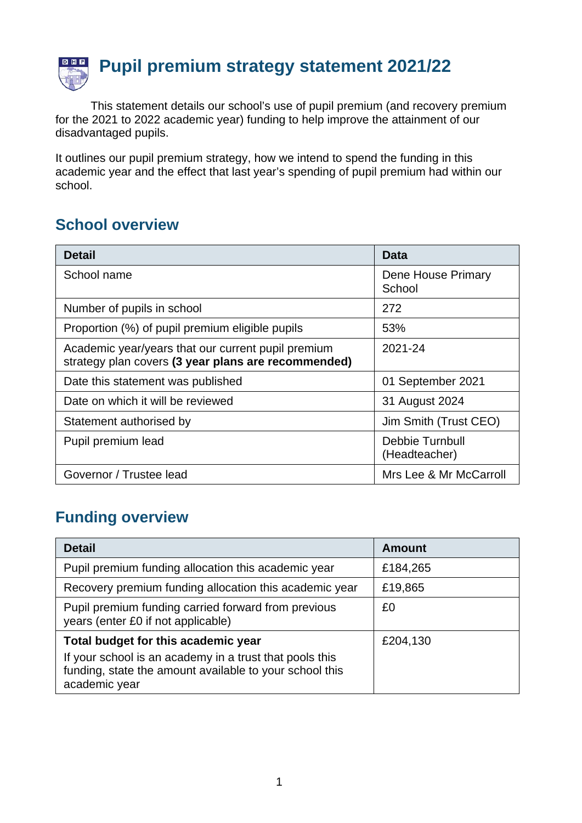

This statement details our school's use of pupil premium (and recovery premium for the 2021 to 2022 academic year) funding to help improve the attainment of our disadvantaged pupils.

It outlines our pupil premium strategy, how we intend to spend the funding in this academic year and the effect that last year's spending of pupil premium had within our school.

## **School overview**

| <b>Detail</b>                                                                                             | Data                             |
|-----------------------------------------------------------------------------------------------------------|----------------------------------|
| School name                                                                                               | Dene House Primary<br>School     |
| Number of pupils in school                                                                                | 272                              |
| Proportion (%) of pupil premium eligible pupils                                                           | 53%                              |
| Academic year/years that our current pupil premium<br>strategy plan covers (3 year plans are recommended) | 2021-24                          |
| Date this statement was published                                                                         | 01 September 2021                |
| Date on which it will be reviewed                                                                         | 31 August 2024                   |
| Statement authorised by                                                                                   | Jim Smith (Trust CEO)            |
| Pupil premium lead                                                                                        | Debbie Turnbull<br>(Headteacher) |
| Governor / Trustee lead                                                                                   | Mrs Lee & Mr McCarroll           |

## **Funding overview**

| <b>Detail</b>                                                                                                                                                              | <b>Amount</b> |
|----------------------------------------------------------------------------------------------------------------------------------------------------------------------------|---------------|
| Pupil premium funding allocation this academic year                                                                                                                        | £184,265      |
| Recovery premium funding allocation this academic year                                                                                                                     | £19,865       |
| Pupil premium funding carried forward from previous<br>years (enter £0 if not applicable)                                                                                  | £0            |
| Total budget for this academic year<br>If your school is an academy in a trust that pools this<br>funding, state the amount available to your school this<br>academic year | £204,130      |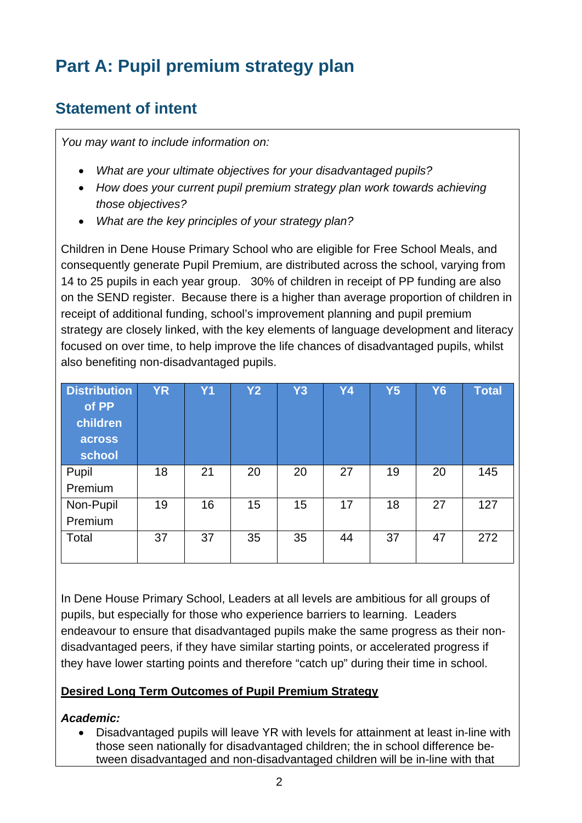# **Part A: Pupil premium strategy plan**

## **Statement of intent**

*You may want to include information on:*

- *What are your ultimate objectives for your disadvantaged pupils?*
- *How does your current pupil premium strategy plan work towards achieving those objectives?*
- *What are the key principles of your strategy plan?*

Children in Dene House Primary School who are eligible for Free School Meals, and consequently generate Pupil Premium, are distributed across the school, varying from 14 to 25 pupils in each year group. 30% of children in receipt of PP funding are also on the SEND register. Because there is a higher than average proportion of children in receipt of additional funding, school's improvement planning and pupil premium strategy are closely linked, with the key elements of language development and literacy focused on over time, to help improve the life chances of disadvantaged pupils, whilst also benefiting non-disadvantaged pupils.

| <b>Distribution</b><br>of PP<br>children<br>across<br>school | <b>YR</b> | Y <sub>1</sub> | <b>Y2</b> | <b>Y3</b> | Y4 | Y5 | <b>Y6</b> | <b>Total</b> |
|--------------------------------------------------------------|-----------|----------------|-----------|-----------|----|----|-----------|--------------|
| Pupil<br>Premium                                             | 18        | 21             | 20        | 20        | 27 | 19 | 20        | 145          |
| Non-Pupil<br>Premium                                         | 19        | 16             | 15        | 15        | 17 | 18 | 27        | 127          |
| Total                                                        | 37        | 37             | 35        | 35        | 44 | 37 | 47        | 272          |

In Dene House Primary School, Leaders at all levels are ambitious for all groups of pupils, but especially for those who experience barriers to learning. Leaders endeavour to ensure that disadvantaged pupils make the same progress as their nondisadvantaged peers, if they have similar starting points, or accelerated progress if they have lower starting points and therefore "catch up" during their time in school.

#### **Desired Long Term Outcomes of Pupil Premium Strategy**

#### *Academic:*

• Disadvantaged pupils will leave YR with levels for attainment at least in-line with those seen nationally for disadvantaged children; the in school difference between disadvantaged and non-disadvantaged children will be in-line with that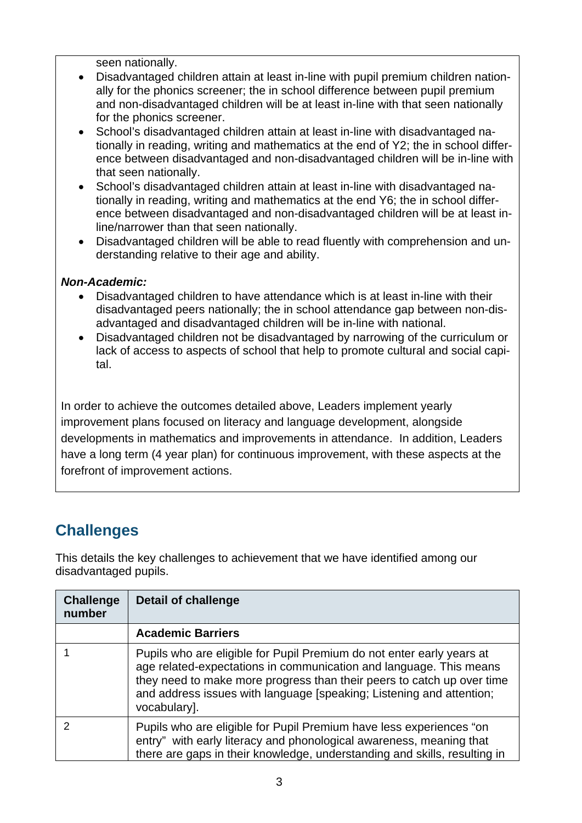seen nationally.

- Disadvantaged children attain at least in-line with pupil premium children nationally for the phonics screener; the in school difference between pupil premium and non-disadvantaged children will be at least in-line with that seen nationally for the phonics screener.
- School's disadvantaged children attain at least in-line with disadvantaged nationally in reading, writing and mathematics at the end of Y2; the in school difference between disadvantaged and non-disadvantaged children will be in-line with that seen nationally.
- School's disadvantaged children attain at least in-line with disadvantaged nationally in reading, writing and mathematics at the end Y6; the in school difference between disadvantaged and non-disadvantaged children will be at least inline/narrower than that seen nationally.
- Disadvantaged children will be able to read fluently with comprehension and understanding relative to their age and ability.

#### *Non-Academic:*

- Disadvantaged children to have attendance which is at least in-line with their disadvantaged peers nationally; the in school attendance gap between non-disadvantaged and disadvantaged children will be in-line with national.
- Disadvantaged children not be disadvantaged by narrowing of the curriculum or lack of access to aspects of school that help to promote cultural and social capital.

In order to achieve the outcomes detailed above, Leaders implement yearly improvement plans focused on literacy and language development, alongside developments in mathematics and improvements in attendance. In addition, Leaders have a long term (4 year plan) for continuous improvement, with these aspects at the forefront of improvement actions.

## **Challenges**

This details the key challenges to achievement that we have identified among our disadvantaged pupils.

| <b>Challenge</b><br>number | Detail of challenge                                                                                                                                                                                                                                                                                           |
|----------------------------|---------------------------------------------------------------------------------------------------------------------------------------------------------------------------------------------------------------------------------------------------------------------------------------------------------------|
|                            | <b>Academic Barriers</b>                                                                                                                                                                                                                                                                                      |
|                            | Pupils who are eligible for Pupil Premium do not enter early years at<br>age related-expectations in communication and language. This means<br>they need to make more progress than their peers to catch up over time<br>and address issues with language [speaking; Listening and attention;<br>vocabulary]. |
|                            | Pupils who are eligible for Pupil Premium have less experiences "on<br>entry" with early literacy and phonological awareness, meaning that<br>there are gaps in their knowledge, understanding and skills, resulting in                                                                                       |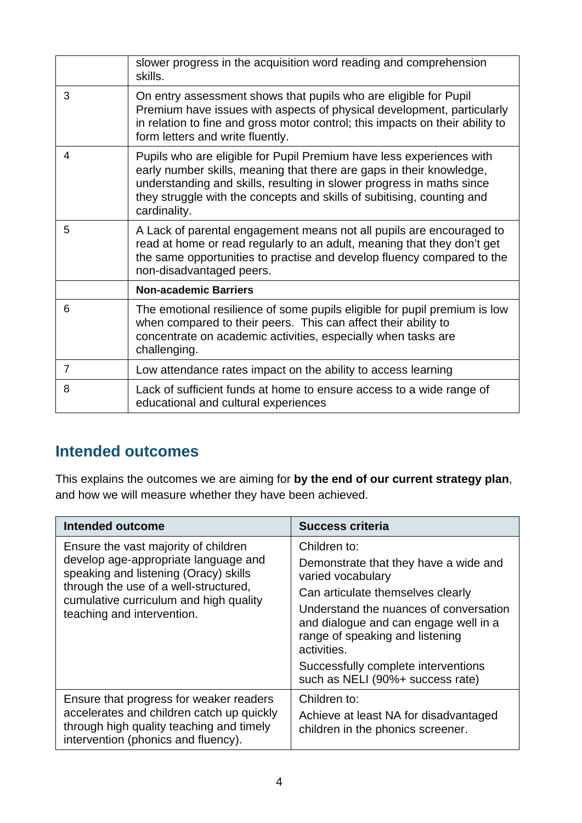|                | slower progress in the acquisition word reading and comprehension<br>skills.                                                                                                                                                                                                                                    |
|----------------|-----------------------------------------------------------------------------------------------------------------------------------------------------------------------------------------------------------------------------------------------------------------------------------------------------------------|
| 3              | On entry assessment shows that pupils who are eligible for Pupil<br>Premium have issues with aspects of physical development, particularly<br>in relation to fine and gross motor control; this impacts on their ability to<br>form letters and write fluently.                                                 |
| 4              | Pupils who are eligible for Pupil Premium have less experiences with<br>early number skills, meaning that there are gaps in their knowledge,<br>understanding and skills, resulting in slower progress in maths since<br>they struggle with the concepts and skills of subitising, counting and<br>cardinality. |
| 5              | A Lack of parental engagement means not all pupils are encouraged to<br>read at home or read regularly to an adult, meaning that they don't get<br>the same opportunities to practise and develop fluency compared to the<br>non-disadvantaged peers.                                                           |
|                | <b>Non-academic Barriers</b>                                                                                                                                                                                                                                                                                    |
| 6              | The emotional resilience of some pupils eligible for pupil premium is low<br>when compared to their peers. This can affect their ability to<br>concentrate on academic activities, especially when tasks are<br>challenging.                                                                                    |
| $\overline{7}$ | Low attendance rates impact on the ability to access learning                                                                                                                                                                                                                                                   |
| 8              | Lack of sufficient funds at home to ensure access to a wide range of<br>educational and cultural experiences                                                                                                                                                                                                    |

## **Intended outcomes**

This explains the outcomes we are aiming for **by the end of our current strategy plan**, and how we will measure whether they have been achieved.

| Intended outcome                                                                                                                                                                                                                       | <b>Success criteria</b>                                                                                                                                                                                                                                                                     |
|----------------------------------------------------------------------------------------------------------------------------------------------------------------------------------------------------------------------------------------|---------------------------------------------------------------------------------------------------------------------------------------------------------------------------------------------------------------------------------------------------------------------------------------------|
| Ensure the vast majority of children<br>develop age-appropriate language and<br>speaking and listening (Oracy) skills<br>through the use of a well-structured,<br>cumulative curriculum and high quality<br>teaching and intervention. | Children to:<br>Demonstrate that they have a wide and<br>varied vocabulary<br>Can articulate themselves clearly<br>Understand the nuances of conversation<br>and dialogue and can engage well in a<br>range of speaking and listening<br>activities.<br>Successfully complete interventions |
|                                                                                                                                                                                                                                        | such as NELI (90%+ success rate)                                                                                                                                                                                                                                                            |
| Ensure that progress for weaker readers<br>accelerates and children catch up quickly<br>through high quality teaching and timely<br>intervention (phonics and fluency).                                                                | Children to:<br>Achieve at least NA for disadvantaged<br>children in the phonics screener.                                                                                                                                                                                                  |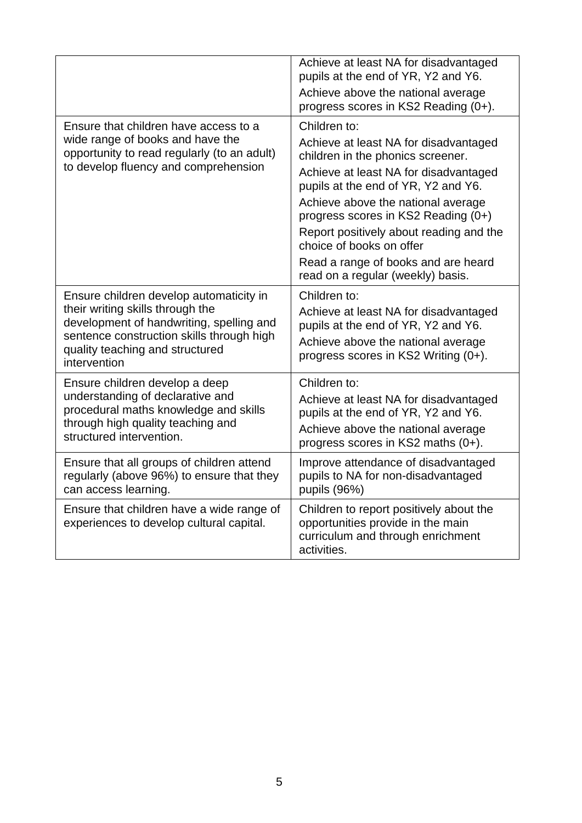| Ensure that children have access to a                                                                                                                                                                                   | Achieve at least NA for disadvantaged<br>pupils at the end of YR, Y2 and Y6.<br>Achieve above the national average<br>progress scores in KS2 Reading (0+).<br>Children to:                                                                                                                                                                                                                 |
|-------------------------------------------------------------------------------------------------------------------------------------------------------------------------------------------------------------------------|--------------------------------------------------------------------------------------------------------------------------------------------------------------------------------------------------------------------------------------------------------------------------------------------------------------------------------------------------------------------------------------------|
| wide range of books and have the<br>opportunity to read regularly (to an adult)<br>to develop fluency and comprehension                                                                                                 | Achieve at least NA for disadvantaged<br>children in the phonics screener.<br>Achieve at least NA for disadvantaged<br>pupils at the end of YR, Y2 and Y6.<br>Achieve above the national average<br>progress scores in KS2 Reading (0+)<br>Report positively about reading and the<br>choice of books on offer<br>Read a range of books and are heard<br>read on a regular (weekly) basis. |
| Ensure children develop automaticity in<br>their writing skills through the<br>development of handwriting, spelling and<br>sentence construction skills through high<br>quality teaching and structured<br>intervention | Children to:<br>Achieve at least NA for disadvantaged<br>pupils at the end of YR, Y2 and Y6.<br>Achieve above the national average<br>progress scores in KS2 Writing (0+).                                                                                                                                                                                                                 |
| Ensure children develop a deep<br>understanding of declarative and<br>procedural maths knowledge and skills<br>through high quality teaching and<br>structured intervention.                                            | Children to:<br>Achieve at least NA for disadvantaged<br>pupils at the end of YR, Y2 and Y6.<br>Achieve above the national average<br>progress scores in KS2 maths (0+).                                                                                                                                                                                                                   |
| Ensure that all groups of children attend<br>regularly (above 96%) to ensure that they<br>can access learning.                                                                                                          | Improve attendance of disadvantaged<br>pupils to NA for non-disadvantaged<br>pupils (96%)                                                                                                                                                                                                                                                                                                  |
| Ensure that children have a wide range of<br>experiences to develop cultural capital.                                                                                                                                   | Children to report positively about the<br>opportunities provide in the main<br>curriculum and through enrichment<br>activities.                                                                                                                                                                                                                                                           |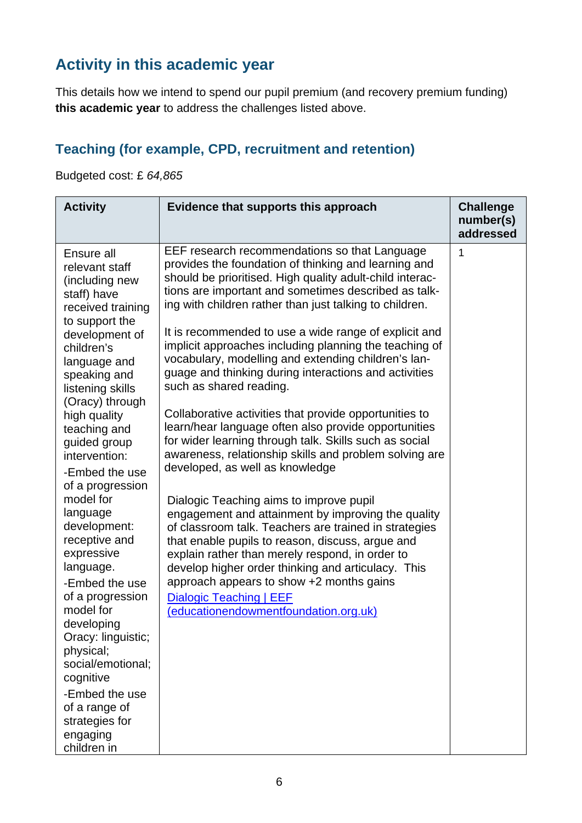## **Activity in this academic year**

This details how we intend to spend our pupil premium (and recovery premium funding) **this academic year** to address the challenges listed above.

## **Teaching (for example, CPD, recruitment and retention)**

Budgeted cost: £ *64,865*

| <b>Activity</b>                                                                                                                    | Evidence that supports this approach                                                                                                                                                                                                                                                                                | <b>Challenge</b><br>number(s)<br>addressed |
|------------------------------------------------------------------------------------------------------------------------------------|---------------------------------------------------------------------------------------------------------------------------------------------------------------------------------------------------------------------------------------------------------------------------------------------------------------------|--------------------------------------------|
| Ensure all<br>relevant staff<br>(including new<br>staff) have<br>received training<br>to support the                               | EEF research recommendations so that Language<br>provides the foundation of thinking and learning and<br>should be prioritised. High quality adult-child interac-<br>tions are important and sometimes described as talk-<br>ing with children rather than just talking to children.                                | 1                                          |
| development of<br>children's<br>language and<br>speaking and<br>listening skills<br>(Oracy) through                                | It is recommended to use a wide range of explicit and<br>implicit approaches including planning the teaching of<br>vocabulary, modelling and extending children's lan-<br>guage and thinking during interactions and activities<br>such as shared reading.                                                          |                                            |
| high quality<br>teaching and<br>guided group<br>intervention:<br>-Embed the use<br>of a progression                                | Collaborative activities that provide opportunities to<br>learn/hear language often also provide opportunities<br>for wider learning through talk. Skills such as social<br>awareness, relationship skills and problem solving are<br>developed, as well as knowledge                                               |                                            |
| model for<br>language<br>development:<br>receptive and<br>expressive<br>language.                                                  | Dialogic Teaching aims to improve pupil<br>engagement and attainment by improving the quality<br>of classroom talk. Teachers are trained in strategies<br>that enable pupils to reason, discuss, argue and<br>explain rather than merely respond, in order to<br>develop higher order thinking and articulacy. This |                                            |
| -Embed the use<br>of a progression<br>model for<br>developing<br>Oracy: linguistic;<br>physical;<br>social/emotional;<br>cognitive | approach appears to show +2 months gains<br>Dialogic Teaching   EEF<br>(educationendowmentfoundation.org.uk)                                                                                                                                                                                                        |                                            |
| -Embed the use<br>of a range of<br>strategies for<br>engaging<br>children in                                                       |                                                                                                                                                                                                                                                                                                                     |                                            |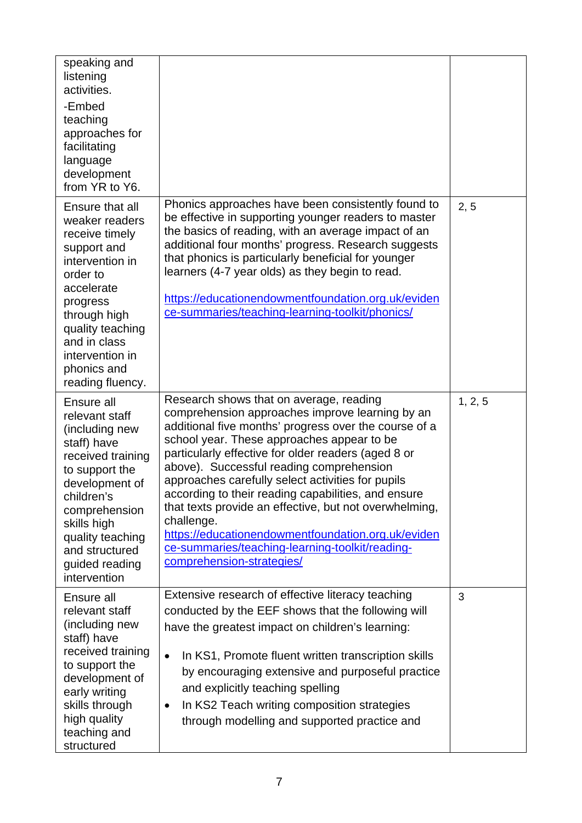| speaking and<br>listening<br>activities.<br>-Embed<br>teaching<br>approaches for<br>facilitating<br>language                                                                                                                                 |                                                                                                                                                                                                                                                                                                                                                                                                                                                                                                                                                                                                                                |         |
|----------------------------------------------------------------------------------------------------------------------------------------------------------------------------------------------------------------------------------------------|--------------------------------------------------------------------------------------------------------------------------------------------------------------------------------------------------------------------------------------------------------------------------------------------------------------------------------------------------------------------------------------------------------------------------------------------------------------------------------------------------------------------------------------------------------------------------------------------------------------------------------|---------|
| development<br>from YR to Y6.                                                                                                                                                                                                                |                                                                                                                                                                                                                                                                                                                                                                                                                                                                                                                                                                                                                                |         |
| Ensure that all<br>weaker readers<br>receive timely<br>support and<br>intervention in<br>order to<br>accelerate<br>progress<br>through high<br>quality teaching<br>and in class<br>intervention in<br>phonics and<br>reading fluency.        | Phonics approaches have been consistently found to<br>be effective in supporting younger readers to master<br>the basics of reading, with an average impact of an<br>additional four months' progress. Research suggests<br>that phonics is particularly beneficial for younger<br>learners (4-7 year olds) as they begin to read.<br>https://educationendowmentfoundation.org.uk/eviden<br>ce-summaries/teaching-learning-toolkit/phonics/                                                                                                                                                                                    | 2, 5    |
| Ensure all<br>relevant staff<br>(including new<br>staff) have<br>received training<br>to support the<br>development of<br>children's<br>comprehension<br>skills high<br>quality teaching<br>and structured<br>guided reading<br>intervention | Research shows that on average, reading<br>comprehension approaches improve learning by an<br>additional five months' progress over the course of a<br>school year. These approaches appear to be<br>particularly effective for older readers (aged 8 or<br>above). Successful reading comprehension<br>approaches carefully select activities for pupils<br>according to their reading capabilities, and ensure<br>that texts provide an effective, but not overwhelming,<br>challenge.<br>https://educationendowmentfoundation.org.uk/eviden<br>ce-summaries/teaching-learning-toolkit/reading-<br>comprehension-strategies/ | 1, 2, 5 |
| Ensure all<br>relevant staff<br>(including new<br>staff) have<br>received training<br>to support the<br>development of<br>early writing<br>skills through<br>high quality<br>teaching and<br>structured                                      | Extensive research of effective literacy teaching<br>conducted by the EEF shows that the following will<br>have the greatest impact on children's learning:<br>In KS1, Promote fluent written transcription skills<br>$\bullet$<br>by encouraging extensive and purposeful practice<br>and explicitly teaching spelling<br>In KS2 Teach writing composition strategies<br>٠<br>through modelling and supported practice and                                                                                                                                                                                                    | 3       |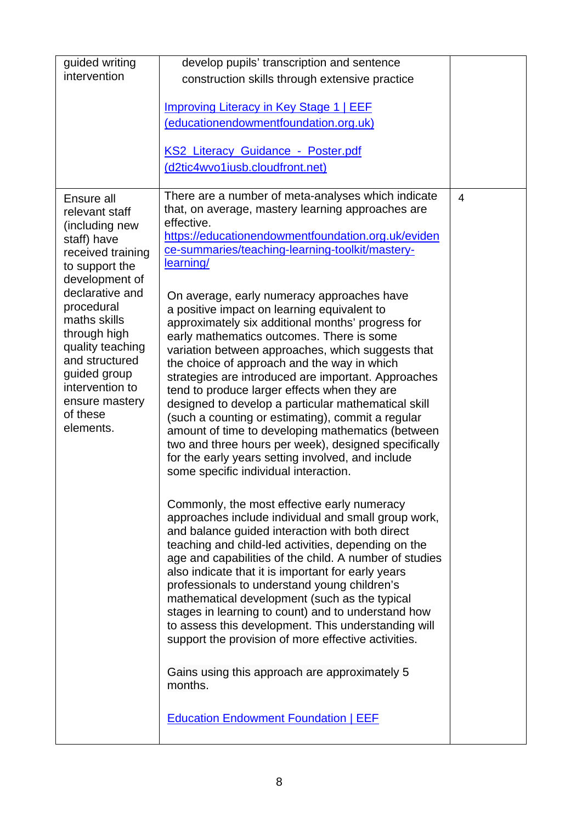| guided writing                     | develop pupils' transcription and sentence                                                                |                |
|------------------------------------|-----------------------------------------------------------------------------------------------------------|----------------|
| intervention                       | construction skills through extensive practice                                                            |                |
|                                    |                                                                                                           |                |
|                                    | <b>Improving Literacy in Key Stage 1   EEF</b>                                                            |                |
|                                    | (educationendowmentfoundation.org.uk)                                                                     |                |
|                                    | KS2 Literacy Guidance - Poster.pdf                                                                        |                |
|                                    | (d2tic4wvo1iusb.cloudfront.net)                                                                           |                |
|                                    |                                                                                                           |                |
| Ensure all<br>relevant staff       | There are a number of meta-analyses which indicate<br>that, on average, mastery learning approaches are   | $\overline{4}$ |
| (including new                     | effective.                                                                                                |                |
| staff) have                        | https://educationendowmentfoundation.org.uk/eviden                                                        |                |
| received training                  | ce-summaries/teaching-learning-toolkit/mastery-<br>learning/                                              |                |
| to support the<br>development of   |                                                                                                           |                |
| declarative and                    | On average, early numeracy approaches have                                                                |                |
| procedural                         | a positive impact on learning equivalent to                                                               |                |
| maths skills                       | approximately six additional months' progress for                                                         |                |
| through high                       | early mathematics outcomes. There is some                                                                 |                |
| quality teaching<br>and structured | variation between approaches, which suggests that                                                         |                |
| guided group                       | the choice of approach and the way in which<br>strategies are introduced are important. Approaches        |                |
| intervention to                    | tend to produce larger effects when they are                                                              |                |
| ensure mastery                     | designed to develop a particular mathematical skill                                                       |                |
| of these<br>elements.              | (such a counting or estimating), commit a regular                                                         |                |
|                                    | amount of time to developing mathematics (between<br>two and three hours per week), designed specifically |                |
|                                    | for the early years setting involved, and include                                                         |                |
|                                    | some specific individual interaction.                                                                     |                |
|                                    |                                                                                                           |                |
|                                    | Commonly, the most effective early numeracy                                                               |                |
|                                    | approaches include individual and small group work,                                                       |                |
|                                    | and balance guided interaction with both direct<br>teaching and child-led activities, depending on the    |                |
|                                    | age and capabilities of the child. A number of studies                                                    |                |
|                                    | also indicate that it is important for early years                                                        |                |
|                                    | professionals to understand young children's                                                              |                |
|                                    | mathematical development (such as the typical                                                             |                |
|                                    | stages in learning to count) and to understand how<br>to assess this development. This understanding will |                |
|                                    | support the provision of more effective activities.                                                       |                |
|                                    |                                                                                                           |                |
|                                    | Gains using this approach are approximately 5                                                             |                |
|                                    | months.                                                                                                   |                |
|                                    |                                                                                                           |                |
|                                    | <b>Education Endowment Foundation   EEF</b>                                                               |                |
|                                    |                                                                                                           |                |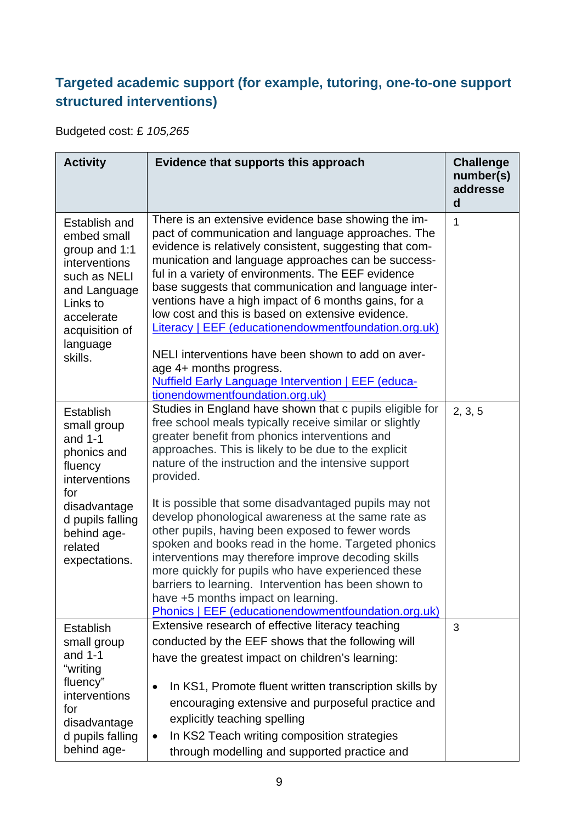### **Targeted academic support (for example, tutoring, one-to-one support structured interventions)**

Budgeted cost: £ *105,265*

| <b>Activity</b>                                                                                                                                                               | Evidence that supports this approach                                                                                                                                                                                                                                                                                                                                                                                                                                                                                                                                                                                                                                                                                                                                                          | <b>Challenge</b><br>number(s)<br>addresse<br>d |
|-------------------------------------------------------------------------------------------------------------------------------------------------------------------------------|-----------------------------------------------------------------------------------------------------------------------------------------------------------------------------------------------------------------------------------------------------------------------------------------------------------------------------------------------------------------------------------------------------------------------------------------------------------------------------------------------------------------------------------------------------------------------------------------------------------------------------------------------------------------------------------------------------------------------------------------------------------------------------------------------|------------------------------------------------|
| Establish and<br>embed small<br>group and 1:1<br>interventions<br>such as NELI<br>and Language<br>Links to<br>accelerate<br>acquisition of<br>language<br>skills.             | There is an extensive evidence base showing the im-<br>pact of communication and language approaches. The<br>evidence is relatively consistent, suggesting that com-<br>munication and language approaches can be success-<br>ful in a variety of environments. The EEF evidence<br>base suggests that communication and language inter-<br>ventions have a high impact of 6 months gains, for a<br>low cost and this is based on extensive evidence.<br><b>Literacy   EEF (educationendowmentfoundation.org.uk)</b><br>NELI interventions have been shown to add on aver-<br>age 4+ months progress.<br><b>Nuffield Early Language Intervention   EEF (educa-</b><br>tionendowmentfoundation.org.uk)                                                                                         | $\mathbf{1}$                                   |
| <b>Establish</b><br>small group<br>and $1-1$<br>phonics and<br>fluency<br>interventions<br>for<br>disadvantage<br>d pupils falling<br>behind age-<br>related<br>expectations. | Studies in England have shown that c pupils eligible for<br>free school meals typically receive similar or slightly<br>greater benefit from phonics interventions and<br>approaches. This is likely to be due to the explicit<br>nature of the instruction and the intensive support<br>provided.<br>It is possible that some disadvantaged pupils may not<br>develop phonological awareness at the same rate as<br>other pupils, having been exposed to fewer words<br>spoken and books read in the home. Targeted phonics<br>interventions may therefore improve decoding skills<br>more quickly for pupils who have experienced these<br>barriers to learning. Intervention has been shown to<br>have +5 months impact on learning.<br>Phonics   EEF (educationendowmentfoundation.org.uk) | 2, 3, 5                                        |
| Establish<br>small group<br>and $1-1$<br>"writing<br>fluency"<br>interventions<br>for<br>disadvantage<br>d pupils falling<br>behind age-                                      | Extensive research of effective literacy teaching<br>conducted by the EEF shows that the following will<br>have the greatest impact on children's learning:<br>In KS1, Promote fluent written transcription skills by<br>$\bullet$<br>encouraging extensive and purposeful practice and<br>explicitly teaching spelling<br>In KS2 Teach writing composition strategies<br>$\bullet$<br>through modelling and supported practice and                                                                                                                                                                                                                                                                                                                                                           | 3                                              |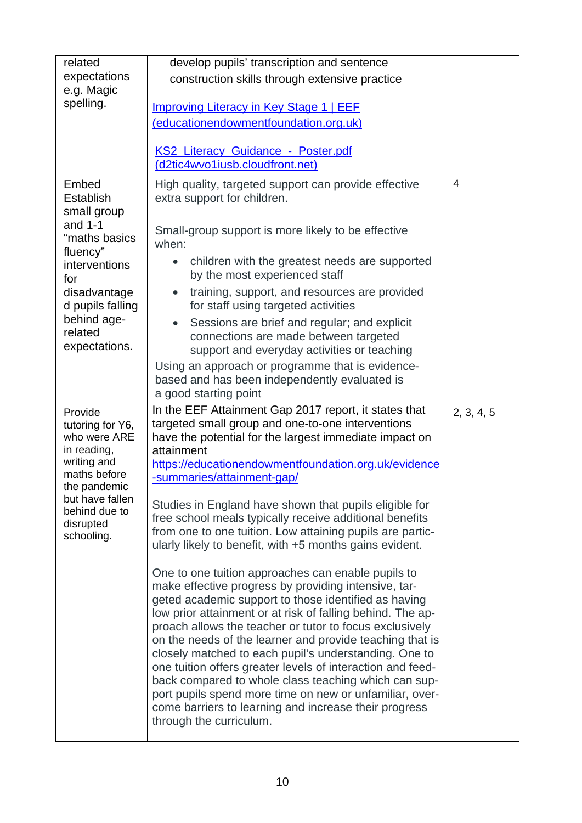| related                                                                                                                                                                  | develop pupils' transcription and sentence                                                                                                                                                                                                                                                                                                                                                                                                                                                                                                                                                                                                                                            |                |
|--------------------------------------------------------------------------------------------------------------------------------------------------------------------------|---------------------------------------------------------------------------------------------------------------------------------------------------------------------------------------------------------------------------------------------------------------------------------------------------------------------------------------------------------------------------------------------------------------------------------------------------------------------------------------------------------------------------------------------------------------------------------------------------------------------------------------------------------------------------------------|----------------|
| expectations                                                                                                                                                             | construction skills through extensive practice                                                                                                                                                                                                                                                                                                                                                                                                                                                                                                                                                                                                                                        |                |
| e.g. Magic<br>spelling.                                                                                                                                                  |                                                                                                                                                                                                                                                                                                                                                                                                                                                                                                                                                                                                                                                                                       |                |
|                                                                                                                                                                          | <b>Improving Literacy in Key Stage 1   EEF</b>                                                                                                                                                                                                                                                                                                                                                                                                                                                                                                                                                                                                                                        |                |
|                                                                                                                                                                          | (educationendowmentfoundation.org.uk)                                                                                                                                                                                                                                                                                                                                                                                                                                                                                                                                                                                                                                                 |                |
|                                                                                                                                                                          | <b>KS2 Literacy Guidance - Poster.pdf</b>                                                                                                                                                                                                                                                                                                                                                                                                                                                                                                                                                                                                                                             |                |
|                                                                                                                                                                          | (d2tic4wvo1iusb.cloudfront.net)                                                                                                                                                                                                                                                                                                                                                                                                                                                                                                                                                                                                                                                       |                |
| Embed<br>Establish<br>small group<br>and $1-1$                                                                                                                           | High quality, targeted support can provide effective<br>extra support for children.                                                                                                                                                                                                                                                                                                                                                                                                                                                                                                                                                                                                   | $\overline{4}$ |
| "maths basics<br>fluency"                                                                                                                                                | Small-group support is more likely to be effective<br>when:                                                                                                                                                                                                                                                                                                                                                                                                                                                                                                                                                                                                                           |                |
| interventions<br>for                                                                                                                                                     | children with the greatest needs are supported<br>by the most experienced staff                                                                                                                                                                                                                                                                                                                                                                                                                                                                                                                                                                                                       |                |
| disadvantage<br>d pupils falling                                                                                                                                         | training, support, and resources are provided<br>for staff using targeted activities                                                                                                                                                                                                                                                                                                                                                                                                                                                                                                                                                                                                  |                |
| behind age-<br>related<br>expectations.                                                                                                                                  | Sessions are brief and regular; and explicit<br>connections are made between targeted<br>support and everyday activities or teaching                                                                                                                                                                                                                                                                                                                                                                                                                                                                                                                                                  |                |
|                                                                                                                                                                          | Using an approach or programme that is evidence-<br>based and has been independently evaluated is<br>a good starting point                                                                                                                                                                                                                                                                                                                                                                                                                                                                                                                                                            |                |
| Provide<br>tutoring for Y6,<br>who were ARE<br>in reading,<br>writing and<br>maths before<br>the pandemic<br>but have fallen<br>behind due to<br>disrupted<br>schooling. | In the EEF Attainment Gap 2017 report, it states that<br>targeted small group and one-to-one interventions<br>have the potential for the largest immediate impact on<br>attainment<br>https://educationendowmentfoundation.org.uk/evidence<br>-summaries/attainment-gap/                                                                                                                                                                                                                                                                                                                                                                                                              | 2, 3, 4, 5     |
|                                                                                                                                                                          | Studies in England have shown that pupils eligible for<br>free school meals typically receive additional benefits<br>from one to one tuition. Low attaining pupils are partic-<br>ularly likely to benefit, with +5 months gains evident.                                                                                                                                                                                                                                                                                                                                                                                                                                             |                |
|                                                                                                                                                                          | One to one tuition approaches can enable pupils to<br>make effective progress by providing intensive, tar-<br>geted academic support to those identified as having<br>low prior attainment or at risk of falling behind. The ap-<br>proach allows the teacher or tutor to focus exclusively<br>on the needs of the learner and provide teaching that is<br>closely matched to each pupil's understanding. One to<br>one tuition offers greater levels of interaction and feed-<br>back compared to whole class teaching which can sup-<br>port pupils spend more time on new or unfamiliar, over-<br>come barriers to learning and increase their progress<br>through the curriculum. |                |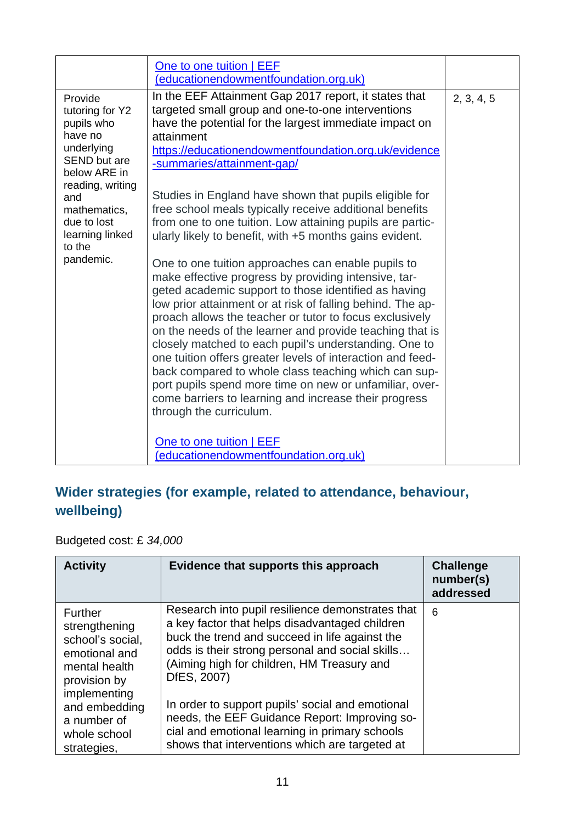## **Wider strategies (for example, related to attendance, behaviour, wellbeing)**

Budgeted cost: £ *34,000*

| <b>Activity</b>                                                                                                                                                                      | Evidence that supports this approach                                                                                                                                                                                                                                                                                                                                                                                                                                          | <b>Challenge</b><br>number(s)<br>addressed |
|--------------------------------------------------------------------------------------------------------------------------------------------------------------------------------------|-------------------------------------------------------------------------------------------------------------------------------------------------------------------------------------------------------------------------------------------------------------------------------------------------------------------------------------------------------------------------------------------------------------------------------------------------------------------------------|--------------------------------------------|
| <b>Further</b><br>strengthening<br>school's social,<br>emotional and<br>mental health<br>provision by<br>implementing<br>and embedding<br>a number of<br>whole school<br>strategies. | Research into pupil resilience demonstrates that<br>a key factor that helps disadvantaged children<br>buck the trend and succeed in life against the<br>odds is their strong personal and social skills<br>(Aiming high for children, HM Treasury and<br>DfES, 2007)<br>In order to support pupils' social and emotional<br>needs, the EEF Guidance Report: Improving so-<br>cial and emotional learning in primary schools<br>shows that interventions which are targeted at | 6                                          |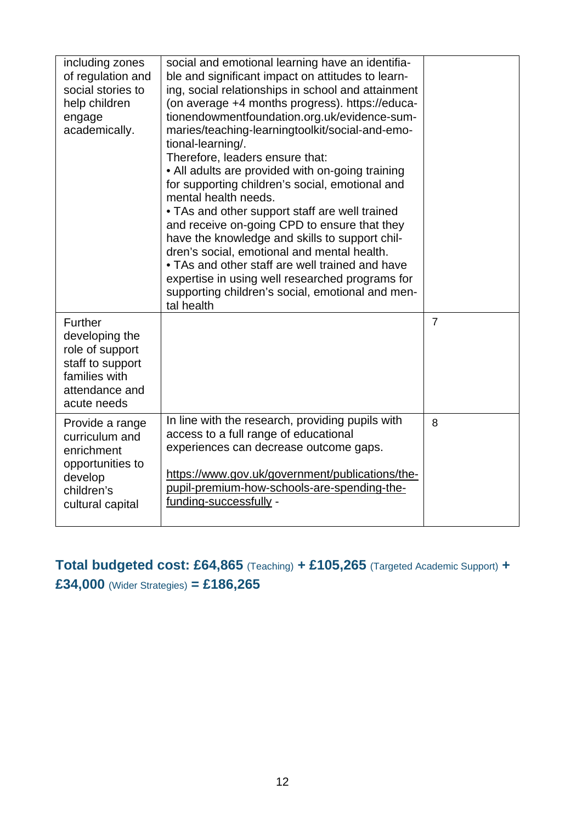| including zones<br>of regulation and<br>social stories to<br>help children<br>engage<br>academically.              | social and emotional learning have an identifia-<br>ble and significant impact on attitudes to learn-<br>ing, social relationships in school and attainment<br>(on average +4 months progress). https://educa-<br>tionendowmentfoundation.org.uk/evidence-sum-<br>maries/teaching-learningtoolkit/social-and-emo-<br>tional-learning/.<br>Therefore, leaders ensure that:<br>• All adults are provided with on-going training<br>for supporting children's social, emotional and<br>mental health needs.<br>• TAs and other support staff are well trained<br>and receive on-going CPD to ensure that they<br>have the knowledge and skills to support chil-<br>dren's social, emotional and mental health.<br>• TAs and other staff are well trained and have<br>expertise in using well researched programs for<br>supporting children's social, emotional and men-<br>tal health |                |
|--------------------------------------------------------------------------------------------------------------------|-------------------------------------------------------------------------------------------------------------------------------------------------------------------------------------------------------------------------------------------------------------------------------------------------------------------------------------------------------------------------------------------------------------------------------------------------------------------------------------------------------------------------------------------------------------------------------------------------------------------------------------------------------------------------------------------------------------------------------------------------------------------------------------------------------------------------------------------------------------------------------------|----------------|
| Further<br>developing the<br>role of support<br>staff to support<br>families with<br>attendance and<br>acute needs |                                                                                                                                                                                                                                                                                                                                                                                                                                                                                                                                                                                                                                                                                                                                                                                                                                                                                     | $\overline{7}$ |
| Provide a range<br>curriculum and<br>enrichment<br>opportunities to<br>develop<br>children's<br>cultural capital   | In line with the research, providing pupils with<br>access to a full range of educational<br>experiences can decrease outcome gaps.<br>https://www.gov.uk/government/publications/the-<br>pupil-premium-how-schools-are-spending-the-<br>funding-successfully -                                                                                                                                                                                                                                                                                                                                                                                                                                                                                                                                                                                                                     | 8              |

**Total budgeted cost: £64,865** (Teaching) **+ £105,265** (Targeted Academic Support) **+ £34,000** (Wider Strategies) **= £186,265**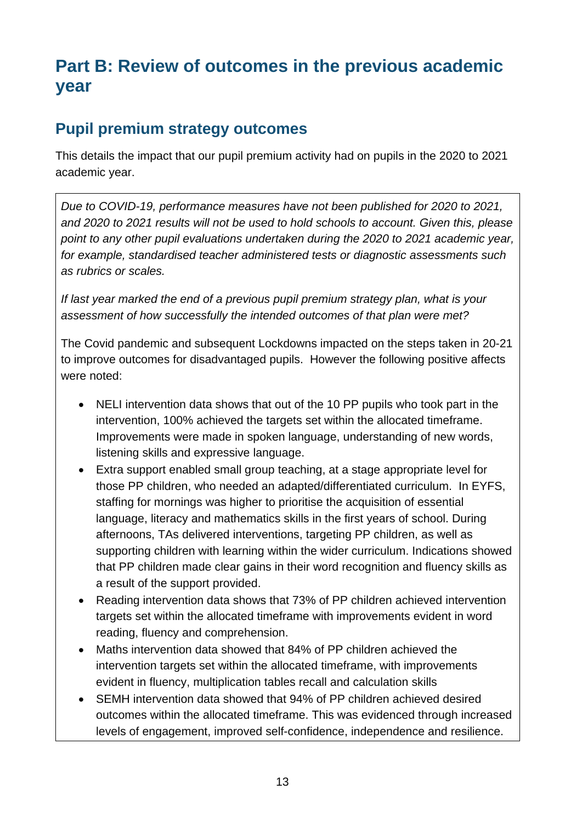# **Part B: Review of outcomes in the previous academic year**

### **Pupil premium strategy outcomes**

This details the impact that our pupil premium activity had on pupils in the 2020 to 2021 academic year.

*Due to COVID-19, performance measures have not been published for 2020 to 2021, and 2020 to 2021 results will not be used to hold schools to account. Given this, please point to any other pupil evaluations undertaken during the 2020 to 2021 academic year, for example, standardised teacher administered tests or diagnostic assessments such as rubrics or scales.*

*If last year marked the end of a previous pupil premium strategy plan, what is your assessment of how successfully the intended outcomes of that plan were met?* 

The Covid pandemic and subsequent Lockdowns impacted on the steps taken in 20-21 to improve outcomes for disadvantaged pupils. However the following positive affects were noted:

- NELI intervention data shows that out of the 10 PP pupils who took part in the intervention, 100% achieved the targets set within the allocated timeframe. Improvements were made in spoken language, understanding of new words, listening skills and expressive language.
- Extra support enabled small group teaching, at a stage appropriate level for those PP children, who needed an adapted/differentiated curriculum. In EYFS, staffing for mornings was higher to prioritise the acquisition of essential language, literacy and mathematics skills in the first years of school. During afternoons, TAs delivered interventions, targeting PP children, as well as supporting children with learning within the wider curriculum. Indications showed that PP children made clear gains in their word recognition and fluency skills as a result of the support provided.
- Reading intervention data shows that 73% of PP children achieved intervention targets set within the allocated timeframe with improvements evident in word reading, fluency and comprehension.
- Maths intervention data showed that 84% of PP children achieved the intervention targets set within the allocated timeframe, with improvements evident in fluency, multiplication tables recall and calculation skills
- SEMH intervention data showed that 94% of PP children achieved desired outcomes within the allocated timeframe. This was evidenced through increased levels of engagement, improved self-confidence, independence and resilience.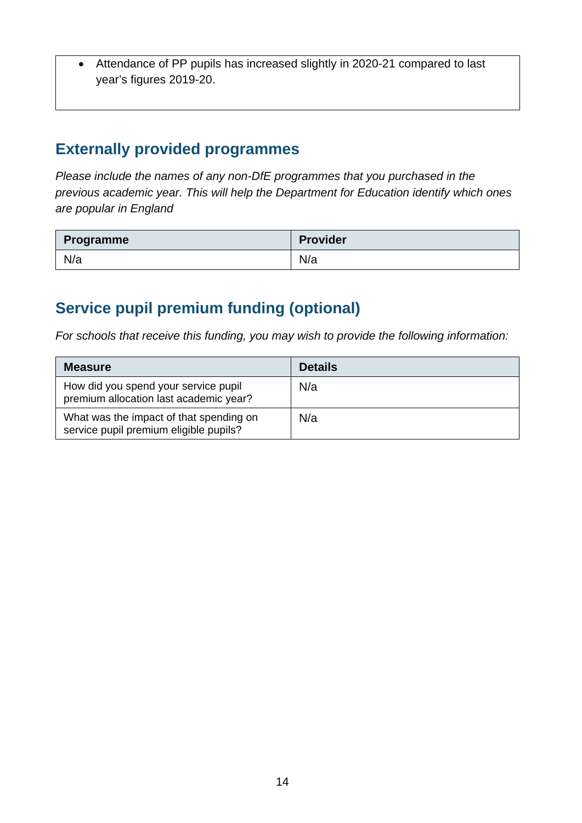• Attendance of PP pupils has increased slightly in 2020-21 compared to last year's figures 2019-20.

### **Externally provided programmes**

*Please include the names of any non-DfE programmes that you purchased in the previous academic year. This will help the Department for Education identify which ones are popular in England*

| <b>Programme</b> | <b>Provider</b> |
|------------------|-----------------|
| N/a              | N/a             |

## **Service pupil premium funding (optional)**

*For schools that receive this funding, you may wish to provide the following information:* 

| <b>Measure</b>                                                                    | <b>Details</b> |
|-----------------------------------------------------------------------------------|----------------|
| How did you spend your service pupil<br>premium allocation last academic year?    | N/a            |
| What was the impact of that spending on<br>service pupil premium eligible pupils? | N/a            |